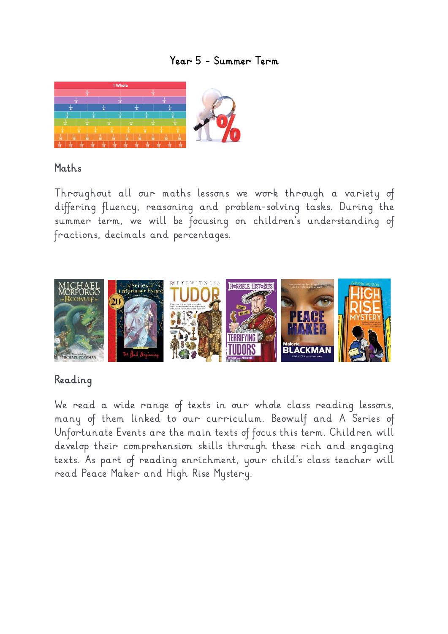#### *Year 5 – Summer Term*



#### *Maths*

*Throughout all our maths lessons we work through a variety of differing fluency, reasoning and problem-solving tasks. During the summer term, we will be focusing on children's understanding of fractions, decimals and percentages.*



#### *Reading*

*We read a wide range of texts in our whole class reading lessons, many of them linked to our curriculum. Beowulf and A Series of Unfortunate Events are the main texts of focus this term. Children will develop their comprehension skills through these rich and engaging texts. As part of reading enrichment, your child's class teacher will read Peace Maker and High Rise Mystery.*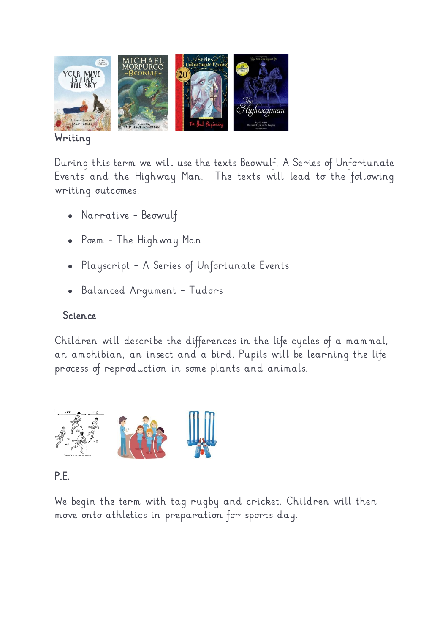

#### *Writing*

*During this term we will use the texts Beowulf, A Series of Unfortunate Events and the Highway Man. The texts will lead to the following writing outcomes:*

- *Narrative – Beowulf*
- *Poem – The Highway Man*
- *Playscript – A Series of Unfortunate Events*
- *Balanced Argument – Tudors*

## *Science*

*Children will describe the differences in the life cycles of a mammal, an amphibian, an insect and a bird. Pupils will be learning the life process of reproduction in some plants and animals.*



## *P.E.*

*We begin the term with tag rugby and cricket. Children will then move onto athletics in preparation for sports day.*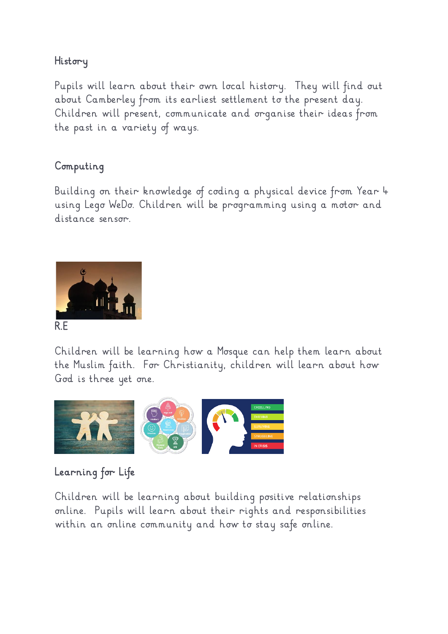## *History*

*Pupils will learn about their own local history. They will find out about Camberley from its earliest settlement to the present day. Children will present, communicate and organise their ideas from the past in a variety of ways.*

## *Computing*

*Building on their knowledge of coding a physical device from Year 4 using Lego WeDo. Children will be programming using a motor and distance sensor.*



*Children will be learning how a Mosque can help them learn about the Muslim faith. For Christianity, children will learn about how God is three yet one.*



# *Learning for Life*

*Children will be learning about building positive relationships online. Pupils will learn about their rights and responsibilities within an online community and how to stay safe online.*